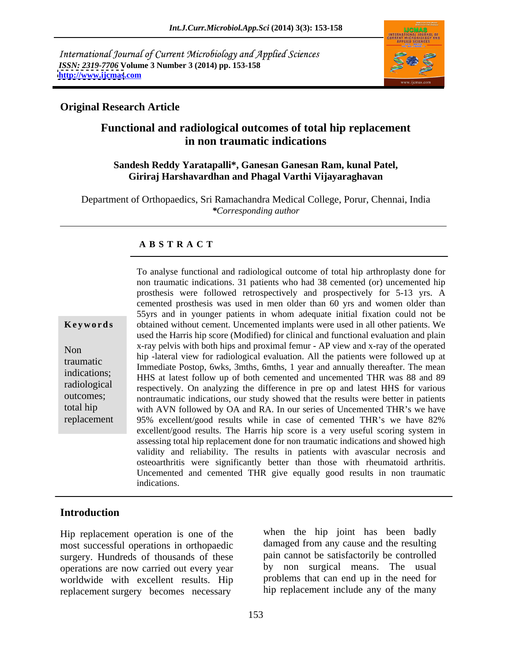International Journal of Current Microbiology and Applied Sciences *ISSN: 2319-7706* **Volume 3 Number 3 (2014) pp. 153-158 <http://www.ijcmas>.com**



## **Original Research Article**

## **Functional and radiological outcomes of total hip replacement in non traumatic indications**

#### **Sandesh Reddy Yaratapalli\*, Ganesan Ganesan Ram, kunal Patel, Giriraj Harshavardhan and Phagal Varthi Vijayaraghavan**

Department of Orthopaedics, Sri Ramachandra Medical College, Porur, Chennai, India *\*Corresponding author*

## **A B S T R A C T**

**Keywords** obtained without cement. Uncemented implants were used in all other patients. We Non x-ray pelvis with both hips and proximal femur - AP view and x-ray of the operated traumatic in the state of the state of the pattern of the patterns were followed up at<br>indications. Immediate Postop, 6wks, 3mths, 6mths, 1 year and annually thereafter. The mean indications;<br>HHS at latest follow up of both cemented and uncemented THR was 88 and 89 radiological respectively. On analyzing the difference in pre op and latest HHS for various outcomes; nontraumatic indications, our study showed that the results were better in patients total hip with AVN followed by OA and RA. In our series of Uncemented THR's we have replacement 95% excellent/good results while in case of cemented THR's we have 82% To analyse functional and radiological outcome of total hip arthroplasty done for non traumatic indications. 31 patients who had 38 cemented (or) uncemented hip prosthesis were followed retrospectively and prospectively for 5-13 yrs. A cemented prosthesis was used in men older than 60 yrs and women older than 55yrs and in younger patients in whom adequate initial fixation could not be used the Harris hip score (Modified) for clinical and functional evaluation and plain hip -lateral view for radiological evaluation. All the patients were followed up at excellent/good results. The Harris hip score is a very useful scoring system in assessing total hip replacement done for non traumatic indications and showed high validity and reliability. The results in patients with avascular necrosis and osteoarthritis were significantly better than those with rheumatoid arthritis. Uncemented and cemented THR give equally good results in non traumatic indications.

## **Introduction**

Hip replacement operation is one of the most successful operations in orthopaedic surgery. Hundreds of thousands of these operations are now carried out every year worldwide with excellent results. Hip replacement surgery becomes necessary

when the hip joint has been badly damaged from any cause and the resulting pain cannot be satisfactorily be controlled by non surgical means. The usual problems that can end up in the need for hip replacement include any of the many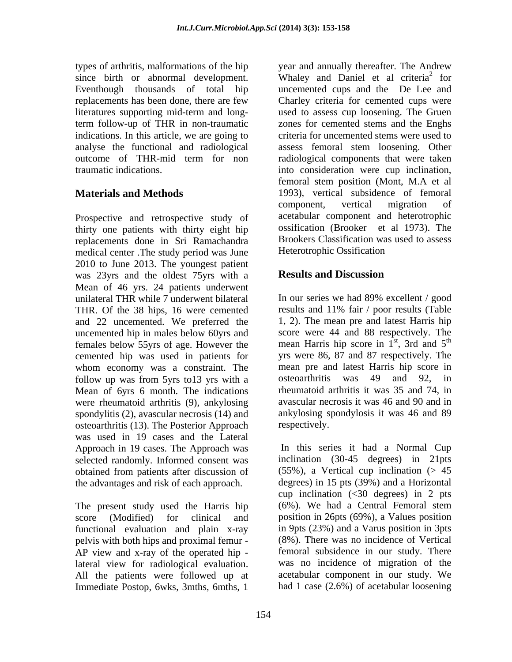term follow-up of THR in non-traumatic indications. In this article, we are going to analyse the functional and radiological

Prospective and retrospective study of thirty one patients with thirty eight hip replacements done in Sri Ramachandra Brookers Classification wa<br>medical center The study period was June Heterotrophic Ossification medical center .The study period was June 2010 to June 2013. The youngest patient<br>was 23yrs and the oldest 75yrs with a **Results and Discussion** was 23yrs and the oldest 75yrs with a Mean of 46 yrs. 24 patients underwent unilateral THR while 7 underwent bilateral In our series we had 89% excellent / good THR. Of the 38 hips, 16 were cemented and 22 uncemented. We preferred the uncemented hip in males below 60yrs and cemented hip was used in patients for whom economy was a constraint. The follow up was from 5yrs to13 yrs with a costeoarthritis was 49 and 92, in Mean of 6yrs 6 month. The indications were rheumatoid arthritis (9), ankylosing spondylitis (2), avascular necrosis (14) and osteoarthritis (13). The Posterior Approach was used in 19 cases and the Lateral Approach in 19 cases. The Approach was obtained from patients after discussion of the advantages and risk of each approach.

The present study used the Harris hip functional evaluation and plain x-ray pelvis with both hips and proximal femur - AP view and x-ray of the operated hip lateral view for radiological evaluation. All the patients were followed up at Immediate Postop, 6wks, 3mths, 6mths, 1

types of arthritis, malformations of the hip year and annually thereafter. The Andrew since birth or abnormal development. Whaley and Daniel et al criteria<sup>2</sup> for Eventhough thousands of total hip uncemented cups and the De Lee and replacements has been done, there are few Charley criteria for cemented cups were literatures supporting mid-term and long-used to assess cup loosening. The Gruen outcome of THR-mid term for non radiological components that were taken traumatic indications. into consideration were cup inclination, **Materials and Methods** 1993), vertical subsidence of femoral <sup>2</sup> for for zones for cemented stems and the Enghs criteria for uncemented stems were used to assess femoral stem loosening. Other femoral stem position (Mont, M.A et al component, vertical migration of acetabular component and heterotrophic ossification (Brooker et al 1973). The Brookers Classification was used to assess Heterotrophic Ossification

## **Results and Discussion**

females below 55 yrs of age. However the mean Harris hip score in  $1<sup>st</sup>$ , 3rd and  $5<sup>th</sup>$ In our series we had 89% excellent / good results and 11% fair / poor results (Table 1, 2). The mean pre and latest Harris hip score were 44 and 88 respectively. The , 3rd and  $5<sup>th</sup>$ the contract of the contract of the contract of the contract of the contract of the contract of the contract of the contract of the contract of the contract of the contract of the contract of the contract of the contract o yrs were 86, 87 and 87 respectively. The mean pre and latest Harris hip score in osteoarthritis was 49 and 92, rheumatoid arthritis it was 35 and 74, in avascular necrosis it was 46 and 90 and in ankylosing spondylosis it was 46 and 89 respectively.

selected randomly. Informed consent was inclination (30-45 degrees) in 21pts score (Modified) for clinical and position in 26pts (69%), a Values position In this series it had a Normal Cup  $(55\%)$ , a Vertical cup inclination ( $> 45$ ) degrees) in 15 pts (39%) and a Horizontal cup inclination  $\langle \langle 30 \rangle$  degrees) in 2 pts (6%). We had a Central Femoral stem in 9pts (23%) and a Varus position in 3pts (8%). There was no incidence of Vertical femoral subsidence in our study. There was no incidence of migration of the acetabular component in our study. We had 1 case (2.6%) of acetabular loosening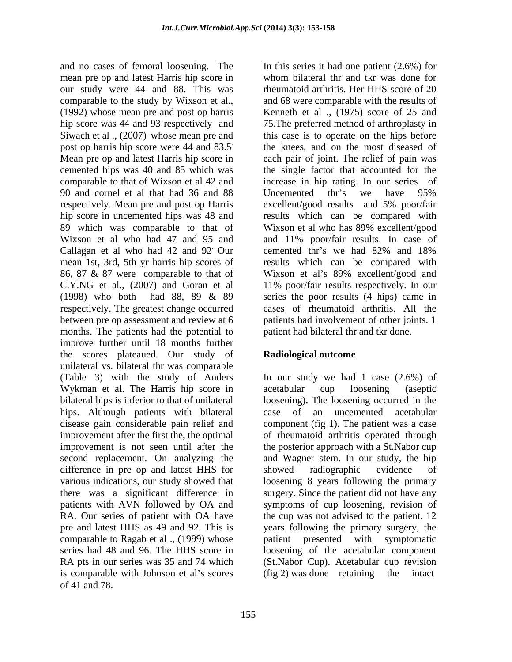and no cases of femoral loosening. The In this series it had one patient (2.6%) for mean pre op and latest Harris hip score in our study were 44 and 88. This was comparable to the study by Wixson et al., (1992) whose mean pre and post op harris (1992) whose mean pre and post op harris (1975) score of 25 and hip score was 44 and 93 respectively and 75.The preferred method of arthroplasty in Siwach et al ., (2007) whose mean pre and this case is to operate on the hips before post op harris hip score were 44 and 83.5 Mean pre op and latest Harris hip score in each pair of joint. The relief of pain was cemented hips was 40 and 85 which was the single factor that accounted for the comparable to that of Wixson et al 42 and increase in hip rating. In our series of 90 and cornel et al that had 36 and 88 Uncemented thr's we have 95% respectively. Mean pre and post op Harris excellent/good results and 5% poor/fair hip score in uncemented hips was 48 and results which can be compared with 89 which was comparable to that of Wixson et al who has 89% excellent/good Wixson et al who had 47 and 95 and and 11% poor/fair results. In case of Callagan et al who had 42 and 92 mean 1st, 3rd, 5th yr harris hip scores of results which can be compared with 86, 87 & 87 were comparable to that of Wixson et al's 89% excellent/good and C.Y.NG et al., (2007) and Goran et al 11% poor/fair results respectively. In our (1998) who both had 88, 89 & 89 series the poor results (4 hips) came in respectively. The greatest change occurred cases of rheumatoid arthritis. All the between pre op assessment and review at 6 months. The patients had the potential to improve further until 18 months further the scores plateaued. Our study of unilateral vs. bilateral thr was comparable (Table 3) with the study of Anders In our study we had 1 case (2.6%) of Wykman et al. The Harris hip score in acetabular cup loosening (aseptic bilateral hips is inferior to that of unilateral loosening). The loosening occurred in the hips. Although patients with bilateral disease gain considerable pain relief and component(fig 1). The patient was a case improvement after the first the, the optimal of rheumatoid arthritis operated through improvement is not seen until after the the posterior approach with a St.Nabor cup second replacement. On analyzing the difference in pre op and latest HHS for showed radiographic evidence of various indications, our study showed that loosening 8 years following the primary there was a significant difference in surgery. Since the patient did not have any patients with AVN followed by OA and symptoms of cup loosening, revision of RA. Our series of patient with OA have the cup was not advised to the patient. 12 pre and latest HHS as 49 and 92. This is years following the primary surgery, the comparable to Ragab et al ., (1999) whose patient presented with symptomatic series had 48 and 96. The HHS score in loosening of the acetabular component RA pts in our series was 35 and 74 which (St.Nabor Cup). Acetabular cup revision is comparable with Johnson et al's scores (fig 2) was done retaining the intact  $\sigma$  6 41 and 78.

. the knees, and on the most diseased of cemented thr's we had 82% and 18% whom bilateral thr and tkr was done for rheumatoid arthritis. Her HHS score of 20 and 68 were comparable with the results of Kenneth et al ., (1975) score of 25 and Uncemented thr's we have 95% excellent/good results and 5% poor/fair Wixson et al who has 89% excellent/good cemented thr's we had 82% and 18% patients had involvement of other joints. 1 patient had bilateral thr and tkr done.

## **Radiological outcome**

acetabular cup loosening (aseptic case of an uncemented acetabular and Wagner stem. In our study, the hip showed radiographic evidence of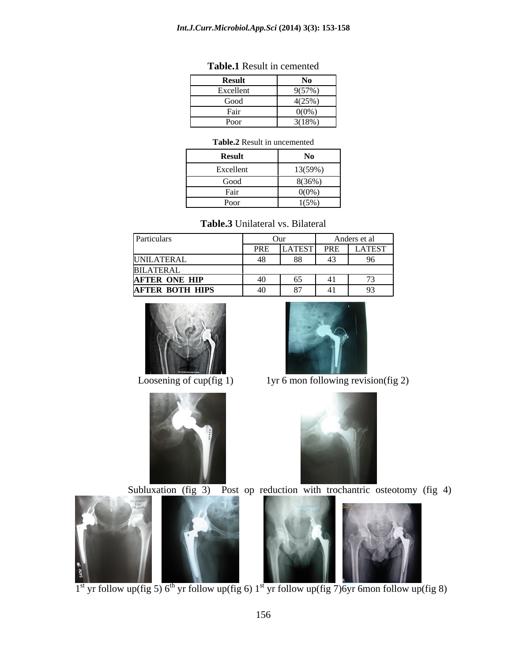#### *Int.J.Curr.Microbiol.App.Sci* **(2014) 3(3): 153-158**

| $\sim$ $\sim$<br>Result                                | <b>NO</b> |
|--------------------------------------------------------|-----------|
| the contract of the contract of<br>$\sim$<br>Excellent | 9(57%     |
| Goog                                                   | 4(25%     |
| г ап                                                   | 0(0%      |
| $\mathbf{D}_{\alpha}$<br><b>POOI</b>                   | 3(18%)    |

### **Table.1** Result in cemented

#### **Table.2** Result in uncemented

| <b>Result</b>         | $\mathbf{X}$<br>$\sim$ |
|-----------------------|------------------------|
| Excellent             | 13(59%)                |
| Good                  | 8(36%)                 |
| $ -$<br>$_{\rm Fall}$ | $0(0\%)$               |
| Poor                  | 1(5%)                  |

| Particulars            | Our                |            | Anders et al |               |
|------------------------|--------------------|------------|--------------|---------------|
|                        | 1 IV.              | LATEST PRE |              | <b>LATEST</b> |
| UNILATERAL             |                    | $\sim$     |              |               |
| <b>BILATERAL</b>       |                    |            |              |               |
| <b>AFTER ONE HIP</b>   | $\sqrt{2}$<br>$+0$ | UJ         |              |               |
| <b>AFTER BOTH HIPS</b> | $\Delta$<br>- 40   | . ი        |              |               |





Loosening of cup(fig 1)  $1$ yr 6 mon following revision(fig 2)









 $1<sup>st</sup>$  yr follow up(fig 5) 6<sup>th</sup> yr follow up(fig 6) 1<sup>st</sup> yr follow up(fig 7)6yr 6mon follow up(fig 8)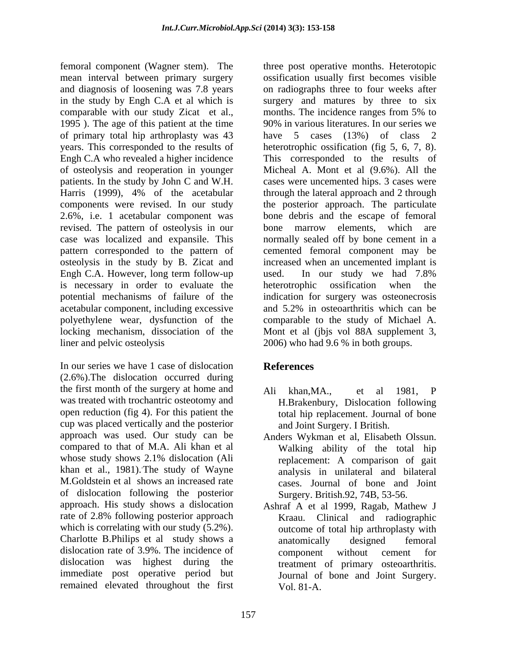femoral component (Wagner stem). The mean interval between primary surgery and diagnosis of loosening was 7.8 years in the study by Engh C.A et al which is surgery and matures by three to six comparable with our study Zicat et al., months. The incidence ranges from 5% to 1995 ). The age of this patient at the time of primary total hip arthroplasty was 43 have 5 cases (13%) of class 2 years. This corresponded to the results of heterotrophic ossification (fig 5, 6, 7, 8). Engh C.A who revealed a higher incidence This corresponded to the results of of osteolysis and reoperation in younger Micheal A. Mont et al (9.6%). All the patients. In the study by John C and W.H. Harris (1999), 4% of the acetabular through the lateral approach and 2 through components were revised. In our study the posterior approach. The particulate 2.6%, i.e. 1 acetabular component was bone debris and the escape of femoral revised. The pattern of osteolysis in our bone marrow elements, which are case was localized and expansile. This normally sealed off by bone cement in a pattern corresponded to the pattern of a cemented femoral component may be osteolysis in the study by B. Zicat and increased when an uncemented implant is Engh C.A. However, long term follow-up used. In our study we had 7.8% is necessary in order to evaluate the heterotrophic ossification when the potential mechanisms of failure of the indication for surgery was osteonecrosis acetabular component, including excessive and 5.2% in osteoarthritis which can be polyethylene wear, dysfunction of the locking mechanism, dissociation of the Mont et al (jbjs vol 88A supplement 3, liner and pelvic osteolysis 2006) who had 9.6 % in both groups.

In our series we have 1 case of dislocation **References** (2.6%).The dislocation occurred during the first month of the surgery at home and Ali khan.MA.. et al 1981. P was treated with trochantric osteotomy and H.Brakenbury, Dislocation following open reduction (fig 4). For this patient the cup was placed vertically and the posterior approach was used. Our study can be Anders Wykman et al, Elisabeth Olssun. compared to that of M.A. Ali khan et al Walking ability of the total hip whose study shows 2.1% dislocation (Ali khan et al., 1981). The study of Wayne M.Goldstein et al shows an increased rate of dislocation following the posterior which is correlating with our study  $(5.2\%)$ . Charlotte B.Philips et al study shows a dislocation rate of 3.9%. The incidence of component without cement for remained elevated throughout the first

three post operative months. Heterotopic ossification usually first becomes visible on radiographs three to four weeks after months. The incidence ranges from 5% to 90% in various literatures. In our series we cases were uncemented hips. 3 cases were bone marrow elements, which are used. In our study we had 7.8% heterotrophic ossification when the comparable to the study of Michael A.

# **References**

- Ali khan,MA., et al 1981, P total hip replacement. Journal of bone and Joint Surgery. I British.
- The study of Wayne analysis in unilateral and bilateral replacement: A comparison of gait cases. Journal of bone and Joint Surgery. British.92, 74B, 53-56.
- approach. His study shows a dislocation Ashraf A et al 1999, Ragab, Mathew J rate of 2.8% following posterior approach Kraau. Clinical and radiographic dislocation was highest during the treatment of primary osteoarthritis. immediate post operative period but Journal of bone and Joint Surgery. Kraau. Clinical and radiographic outcome of total hip arthroplasty with anatomically designed femoral component without cement for Vol. 81-A.